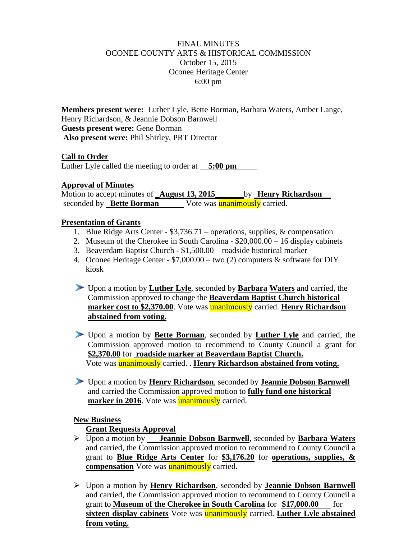## FINAL MINUTES OCONEE COUNTY ARTS & HISTORICAL COMMISSION October 15, 2015 Oconee Heritage Center 6:00 pm

**Members present were:** Luther Lyle, Bette Borman, Barbara Waters, Amber Lange, Henry Richardson, & Jeannie Dobson Barnwell **Guests present were:** Gene Borman **Also present were:** Phil Shirley, PRT Director

#### **Call to Order**

Luther Lyle called the meeting to order at **5:00 pm**

### **Approval of Minutes**

Motion to accept minutes of **\_August 13, 2015\_\_\_\_\_\_\_**by **Henry Richardson** seconded by **Bette Borman** Vote was **unanimously** carried.

## **Presentation of Grants**

- 1. Blue Ridge Arts Center \$3,736.71 operations, supplies, & compensation
- 2. Museum of the Cherokee in South Carolina \$20,000.00 16 display cabinets
- 3. Beaverdam Baptist Church \$1,500.00 roadside historical marker
- 4. Oconee Heritage Center \$7,000.00 two (2) computers & software for DIY kiosk
- Upon a motion by **Luther Lyle**, seconded by **Barbara Waters** and carried, the Commission approved to change the **Beaverdam Baptist Church historical marker cost to \$2,370.00**. Vote was unanimously carried. **Henry Richardson abstained from voting.**
- Upon a motion by **Bette Borman**, seconded by **Luther Lyle** and carried, the Commission approved motion to recommend to County Council a grant for **\$2,370.00** for **roadside marker at Beaverdam Baptist Church.** Vote was unanimously carried. . **Henry Richardson abstained from voting.**
- Upon a motion by **Henry Richardson**, seconded by **Jeannie Dobson Barnwell** and carried the Commission approved motion to **fully fund one historical marker in 2016**. Vote was **unanimously** carried.

# **New Business**

# **Grant Requests Approval**

- Upon a motion by **Jeannie Dobson Barnwell**, seconded by **Barbara Waters** and carried, the Commission approved motion to recommend to County Council a grant to **Blue Ridge Arts Center** for **\$3,176.20** for **operations, supplies, & compensation** Vote was **unanimously** carried.
- Upon a motion by **Henry Richardson**, seconded by **Jeannie Dobson Barnwell** and carried, the Commission approved motion to recommend to County Council a grant to **Museum of the Cherokee in South Carolina** for **\$17,000.00** for **sixteen display cabinets** Vote was unanimously carried. **Luther Lyle abstained from voting.**